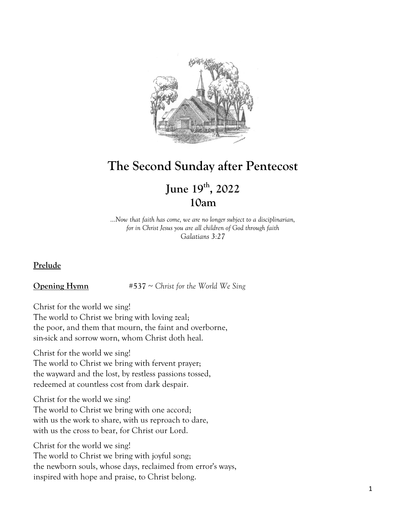

# **The Second Sunday after Pentecost**

# **June 19 th, 2022 10am**

*…Now that faith has come, we are no longer subject to a disciplinarian, for in Christ Jesus you are all children of God through faith Galatians 3:27*

**Prelude**

**Opening Hymn** #**537** ~ *Christ for the World We Sing*

Christ for the world we sing!

The world to Christ we bring with loving zeal; the poor, and them that mourn, the faint and overborne, sin-sick and sorrow worn, whom Christ doth heal.

Christ for the world we sing!

The world to Christ we bring with fervent prayer; the wayward and the lost, by restless passions tossed, redeemed at countless cost from dark despair.

Christ for the world we sing!

The world to Christ we bring with one accord; with us the work to share, with us reproach to dare, with us the cross to bear, for Christ our Lord.

Christ for the world we sing! The world to Christ we bring with joyful song; the newborn souls, whose days, reclaimed from error's ways, inspired with hope and praise, to Christ belong.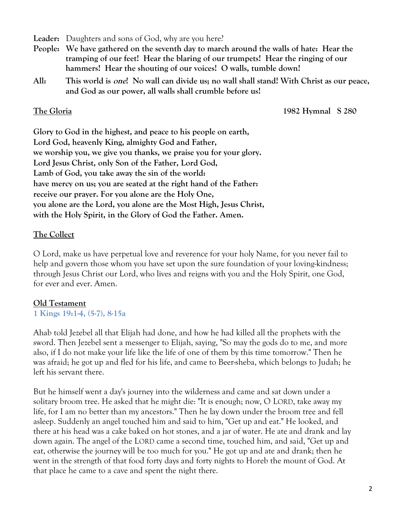**Leader:** Daughters and sons of God, why are you here?

- **People: We have gathered on the seventh day to march around the walls of hate: Hear the tramping of our feet! Hear the blaring of our trumpets! Hear the ringing of our hammers! Hear the shouting of our voices! O walls, tumble down!**
- **All: This world is one! No wall can divide us; no wall shall stand! With Christ as our peace, and God as our power, all walls shall crumble before us!**

**The Gloria 1982 Hymnal S 280**

**Glory to God in the highest, and peace to his people on earth, Lord God, heavenly King, almighty God and Father, we worship you, we give you thanks, we praise you for your glory. Lord Jesus Christ, only Son of the Father, Lord God, Lamb of God, you take away the sin of the world: have mercy on us; you are seated at the right hand of the Father: receive our prayer. For you alone are the Holy One, you alone are the Lord, you alone are the Most High, Jesus Christ, with the Holy Spirit, in the Glory of God the Father. Amen.** 

# **The Collect**

O Lord, make us have perpetual love and reverence for your holy Name, for you never fail to help and govern those whom you have set upon the sure foundation of your loving-kindness; through Jesus Christ our Lord, who lives and reigns with you and the Holy Spirit, one God, for ever and ever. Amen.

# **Old Testament**

#### **1 Kings 19:1-4, (5-7), 8-15a**

Ahab told Jezebel all that Elijah had done, and how he had killed all the prophets with the sword. Then Jezebel sent a messenger to Elijah, saying, "So may the gods do to me, and more also, if I do not make your life like the life of one of them by this time tomorrow." Then he was afraid; he got up and fled for his life, and came to Beer-sheba, which belongs to Judah; he left his servant there.

But he himself went a day's journey into the wilderness and came and sat down under a solitary broom tree. He asked that he might die: "It is enough; now, O LORD, take away my life, for I am no better than my ancestors." Then he lay down under the broom tree and fell asleep. Suddenly an angel touched him and said to him, "Get up and eat." He looked, and there at his head was a cake baked on hot stones, and a jar of water. He ate and drank and lay down again. The angel of the LORD came a second time, touched him, and said, "Get up and eat, otherwise the journey will be too much for you." He got up and ate and drank; then he went in the strength of that food forty days and forty nights to Horeb the mount of God. At that place he came to a cave and spent the night there.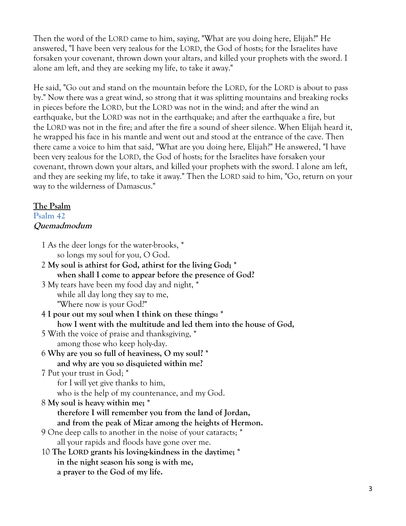Then the word of the LORD came to him, saying, "What are you doing here, Elijah?" He answered, "I have been very zealous for the LORD, the God of hosts; for the Israelites have forsaken your covenant, thrown down your altars, and killed your prophets with the sword. I alone am left, and they are seeking my life, to take it away."

He said, "Go out and stand on the mountain before the LORD, for the LORD is about to pass by." Now there was a great wind, so strong that it was splitting mountains and breaking rocks in pieces before the LORD, but the LORD was not in the wind; and after the wind an earthquake, but the LORD was not in the earthquake; and after the earthquake a fire, but the LORD was not in the fire; and after the fire a sound of sheer silence. When Elijah heard it, he wrapped his face in his mantle and went out and stood at the entrance of the cave. Then there came a voice to him that said, "What are you doing here, Elijah?" He answered, "I have been very zealous for the LORD, the God of hosts; for the Israelites have forsaken your covenant, thrown down your altars, and killed your prophets with the sword. I alone am left, and they are seeking my life, to take it away." Then the LORD said to him, "Go, return on your way to the wilderness of Damascus."

# **The Psalm**

#### **Psalm 42 Quemadmodum**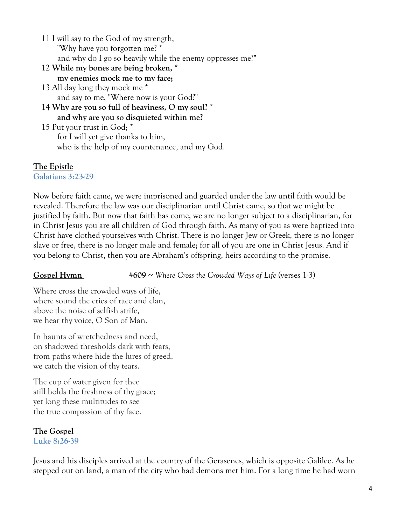11 I will say to the God of my strength, "Why have you forgotten me? \* and why do I go so heavily while the enemy oppresses me?"

- 12 **While my bones are being broken, \* my enemies mock me to my face;**
- 13 All day long they mock me \* and say to me, "Where now is your God?"
- 14 **Why are you so full of heaviness, O my soul? \* and why are you so disquieted within me?**
- 15 Put your trust in God; \* for I will yet give thanks to him, who is the help of my countenance, and my God.

# **The Epistle**

**Galatians 3:23-29**

Now before faith came, we were imprisoned and guarded under the law until faith would be revealed. Therefore the law was our disciplinarian until Christ came, so that we might be justified by faith. But now that faith has come, we are no longer subject to a disciplinarian, for in Christ Jesus you are all children of God through faith. As many of you as were baptized into Christ have clothed yourselves with Christ. There is no longer Jew or Greek, there is no longer slave or free, there is no longer male and female; for all of you are one in Christ Jesus. And if you belong to Christ, then you are Abraham's offspring, heirs according to the promise.

**Gospel Hymn** #**609** ~ *Where Cross the Crowded Ways of Life* (verses 1-3)

Where cross the crowded ways of life, where sound the cries of race and clan, above the noise of selfish strife, we hear thy voice, O Son of Man.

In haunts of wretchedness and need, on shadowed thresholds dark with fears, from paths where hide the lures of greed, we catch the vision of thy tears.

The cup of water given for thee still holds the freshness of thy grace; yet long these multitudes to see the true compassion of thy face.

**The Gospel Luke 8:26-39**

Jesus and his disciples arrived at the country of the Gerasenes, which is opposite Galilee. As he stepped out on land, a man of the city who had demons met him. For a long time he had worn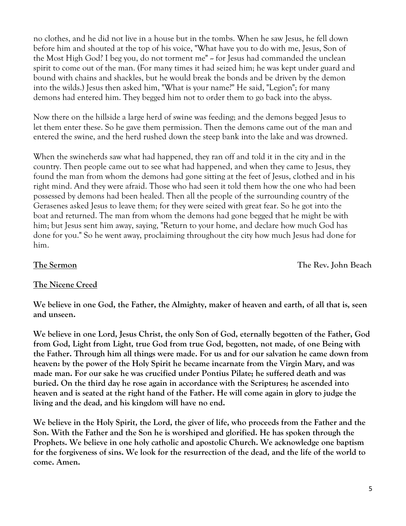no clothes, and he did not live in a house but in the tombs. When he saw Jesus, he fell down before him and shouted at the top of his voice, "What have you to do with me, Jesus, Son of the Most High God? I beg you, do not torment me" – for Jesus had commanded the unclean spirit to come out of the man. (For many times it had seized him; he was kept under guard and bound with chains and shackles, but he would break the bonds and be driven by the demon into the wilds.) Jesus then asked him, "What is your name?" He said, "Legion"; for many demons had entered him. They begged him not to order them to go back into the abyss.

Now there on the hillside a large herd of swine was feeding; and the demons begged Jesus to let them enter these. So he gave them permission. Then the demons came out of the man and entered the swine, and the herd rushed down the steep bank into the lake and was drowned.

When the swineherds saw what had happened, they ran off and told it in the city and in the country. Then people came out to see what had happened, and when they came to Jesus, they found the man from whom the demons had gone sitting at the feet of Jesus, clothed and in his right mind. And they were afraid. Those who had seen it told them how the one who had been possessed by demons had been healed. Then all the people of the surrounding country of the Gerasenes asked Jesus to leave them; for they were seized with great fear. So he got into the boat and returned. The man from whom the demons had gone begged that he might be with him; but Jesus sent him away, saying, "Return to your home, and declare how much God has done for you." So he went away, proclaiming throughout the city how much Jesus had done for him.

**The Sermon The Rev. John Beach**

## **The Nicene Creed**

**We believe in one God, the Father, the Almighty, maker of heaven and earth, of all that is, seen and unseen.** 

**We believe in one Lord, Jesus Christ, the only Son of God, eternally begotten of the Father, God from God, Light from Light, true God from true God, begotten, not made, of one Being with the Father. Through him all things were made. For us and for our salvation he came down from heaven: by the power of the Holy Spirit he became incarnate from the Virgin Mary, and was made man. For our sake he was crucified under Pontius Pilate; he suffered death and was buried. On the third day he rose again in accordance with the Scriptures; he ascended into heaven and is seated at the right hand of the Father. He will come again in glory to judge the living and the dead, and his kingdom will have no end.** 

**We believe in the Holy Spirit, the Lord, the giver of life, who proceeds from the Father and the Son. With the Father and the Son he is worshiped and glorified. He has spoken through the Prophets. We believe in one holy catholic and apostolic Church. We acknowledge one baptism for the forgiveness of sins. We look for the resurrection of the dead, and the life of the world to come. Amen.**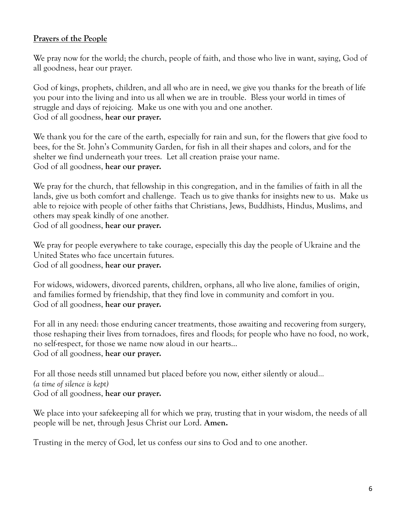## **Prayers of the People**

We pray now for the world; the church, people of faith, and those who live in want, saying, God of all goodness, hear our prayer.

God of kings, prophets, children, and all who are in need, we give you thanks for the breath of life you pour into the living and into us all when we are in trouble. Bless your world in times of struggle and days of rejoicing. Make us one with you and one another. God of all goodness, **hear our prayer.**

We thank you for the care of the earth, especially for rain and sun, for the flowers that give food to bees, for the St. John's Community Garden, for fish in all their shapes and colors, and for the shelter we find underneath your trees. Let all creation praise your name. God of all goodness, **hear our prayer.**

We pray for the church, that fellowship in this congregation, and in the families of faith in all the lands, give us both comfort and challenge. Teach us to give thanks for insights new to us. Make us able to rejoice with people of other faiths that Christians, Jews, Buddhists, Hindus, Muslims, and others may speak kindly of one another. God of all goodness, **hear our prayer.**

We pray for people everywhere to take courage, especially this day the people of Ukraine and the United States who face uncertain futures. God of all goodness, **hear our prayer.**

For widows, widowers, divorced parents, children, orphans, all who live alone, families of origin, and families formed by friendship, that they find love in community and comfort in you. God of all goodness, **hear our prayer.**

For all in any need: those enduring cancer treatments, those awaiting and recovering from surgery, those reshaping their lives from tornadoes, fires and floods; for people who have no food, no work, no self-respect, for those we name now aloud in our hearts… God of all goodness, **hear our prayer.**

For all those needs still unnamed but placed before you now, either silently or aloud*… (a time of silence is kept)*  God of all goodness, **hear our prayer.**

We place into your safekeeping all for which we pray, trusting that in your wisdom, the needs of all people will be net, through Jesus Christ our Lord. **Amen.**

Trusting in the mercy of God, let us confess our sins to God and to one another.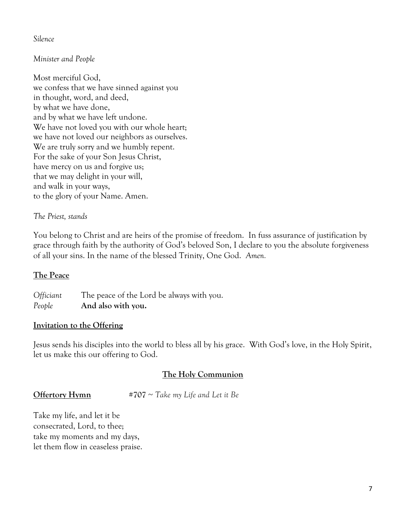*Silence*

# *Minister and People*

Most merciful God, we confess that we have sinned against you in thought, word, and deed, by what we have done, and by what we have left undone. We have not loved you with our whole heart; we have not loved our neighbors as ourselves. We are truly sorry and we humbly repent. For the sake of your Son Jesus Christ, have mercy on us and forgive us; that we may delight in your will, and walk in your ways, to the glory of your Name. Amen.

# *The Priest, stands*

You belong to Christ and are heirs of the promise of freedom. In fuss assurance of justification by grace through faith by the authority of God's beloved Son, I declare to you the absolute forgiveness of all your sins. In the name of the blessed Trinity, One God. *Amen.*

# **The Peace**

*Officiant* The peace of the Lord be always with you. *People* **And also with you.**

## **Invitation to the Offering**

Jesus sends his disciples into the world to bless all by his grace. With God's love, in the Holy Spirit, let us make this our offering to God.

# **The Holy Communion**

# **Offertory Hymn** #**707** ~ *Take my Life and Let it Be*

Take my life, and let it be consecrated, Lord, to thee; take my moments and my days, let them flow in ceaseless praise.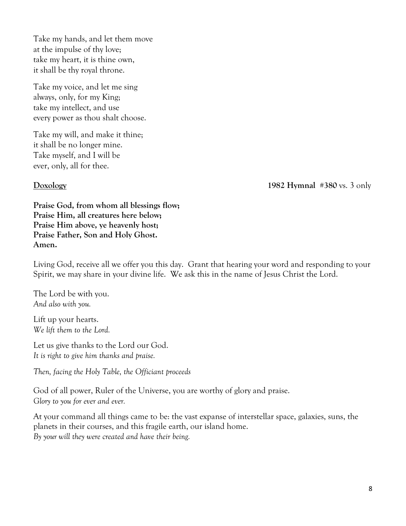Take my hands, and let them move at the impulse of thy love; take my heart, it is thine own, it shall be thy royal throne.

Take my voice, and let me sing always, only, for my King; take my intellect, and use every power as thou shalt choose.

Take my will, and make it thine; it shall be no longer mine. Take myself, and I will be ever, only, all for thee.

**Doxology 1982 Hymnal** #**380** vs. 3 only

**Praise God, from whom all blessings flow; Praise Him, all creatures here below; Praise Him above, ye heavenly host; Praise Father, Son and Holy Ghost. Amen.** 

Living God, receive all we offer you this day. Grant that hearing your word and responding to your Spirit, we may share in your divine life. We ask this in the name of Jesus Christ the Lord.

The Lord be with you. *And also with you.*

Lift up your hearts. *We lift them to the Lord.*

Let us give thanks to the Lord our God. *It is right to give him thanks and praise.*

*Then, facing the Holy Table, the Officiant proceeds*

God of all power, Ruler of the Universe, you are worthy of glory and praise. *Glory to you for ever and ever.*

At your command all things came to be: the vast expanse of interstellar space, galaxies, suns, the planets in their courses, and this fragile earth, our island home. *By your will they were created and have their being.*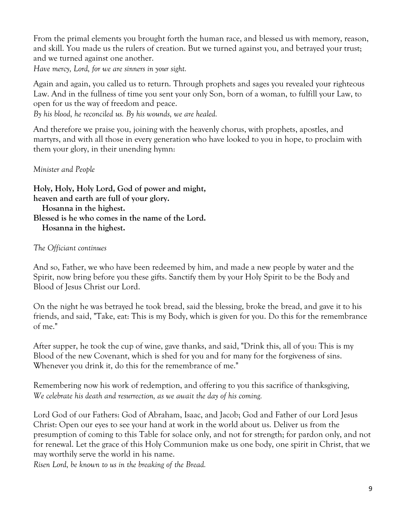From the primal elements you brought forth the human race, and blessed us with memory, reason, and skill. You made us the rulers of creation. But we turned against you, and betrayed your trust; and we turned against one another.

*Have mercy, Lord, for we are sinners in your sight.*

Again and again, you called us to return. Through prophets and sages you revealed your righteous Law. And in the fullness of time you sent your only Son, born of a woman, to fulfill your Law, to open for us the way of freedom and peace.

*By his blood, he reconciled us. By his wounds, we are healed.*

And therefore we praise you, joining with the heavenly chorus, with prophets, apostles, and martyrs, and with all those in every generation who have looked to you in hope, to proclaim with them your glory, in their unending hymn:

*Minister and People*

**Holy, Holy, Holy Lord, God of power and might, heaven and earth are full of your glory. Hosanna in the highest. Blessed is he who comes in the name of the Lord. Hosanna in the highest.**

*The Officiant continues*

And so, Father, we who have been redeemed by him, and made a new people by water and the Spirit, now bring before you these gifts. Sanctify them by your Holy Spirit to be the Body and Blood of Jesus Christ our Lord.

On the night he was betrayed he took bread, said the blessing, broke the bread, and gave it to his friends, and said, "Take, eat: This is my Body, which is given for you. Do this for the remembrance of me."

After supper, he took the cup of wine, gave thanks, and said, "Drink this, all of you: This is my Blood of the new Covenant, which is shed for you and for many for the forgiveness of sins. Whenever you drink it, do this for the remembrance of me."

Remembering now his work of redemption, and offering to you this sacrifice of thanksgiving, *We celebrate his death and resurrection, as we await the day of his coming.*

Lord God of our Fathers: God of Abraham, Isaac, and Jacob; God and Father of our Lord Jesus Christ: Open our eyes to see your hand at work in the world about us. Deliver us from the presumption of coming to this Table for solace only, and not for strength; for pardon only, and not for renewal. Let the grace of this Holy Communion make us one body, one spirit in Christ, that we may worthily serve the world in his name.

*Risen Lord, be known to us in the breaking of the Bread.*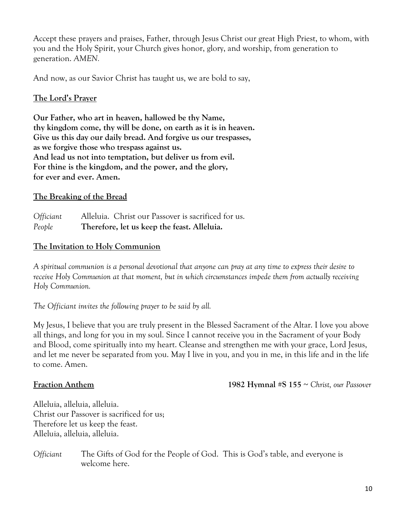Accept these prayers and praises, Father, through Jesus Christ our great High Priest, to whom, with you and the Holy Spirit, your Church gives honor, glory, and worship, from generation to generation. *AMEN.*

And now, as our Savior Christ has taught us, we are bold to say,

# **The Lord's Prayer**

**Our Father, who art in heaven, hallowed be thy Name, thy kingdom come, thy will be done, on earth as it is in heaven. Give us this day our daily bread. And forgive us our trespasses, as we forgive those who trespass against us. And lead us not into temptation, but deliver us from evil. For thine is the kingdom, and the power, and the glory, for ever and ever. Amen.** 

## **The Breaking of the Bread**

*Officiant* Alleluia. Christ our Passover is sacrificed for us. *People* **Therefore, let us keep the feast. Alleluia.**

# **The Invitation to Holy Communion**

*A spiritual communion is a personal devotional that anyone can pray at any time to express their desire to receive Holy Communion at that moment, but in which circumstances impede them from actually receiving Holy Communion.*

*The Officiant invites the following prayer to be said by all.*

My Jesus, I believe that you are truly present in the Blessed Sacrament of the Altar. I love you above all things, and long for you in my soul. Since I cannot receive you in the Sacrament of your Body and Blood, come spiritually into my heart. Cleanse and strengthen me with your grace, Lord Jesus, and let me never be separated from you. May I live in you, and you in me, in this life and in the life to come. Amen.

**Fraction Anthem 1982 Hymnal** #**S 155** ~ *Christ, our Passover*

Alleluia, alleluia, alleluia. Christ our Passover is sacrificed for us; Therefore let us keep the feast. Alleluia, alleluia, alleluia.

*Officiant* The Gifts of God for the People of God. This is God's table, and everyone is welcome here.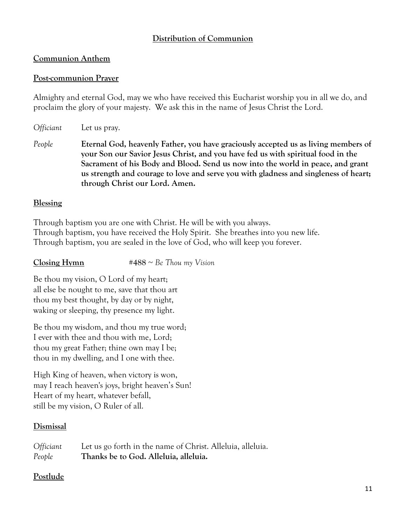# **Distribution of Communion**

## **Communion Anthem**

#### **Post-communion Prayer**

Almighty and eternal God, may we who have received this Eucharist worship you in all we do, and proclaim the glory of your majesty. We ask this in the name of Jesus Christ the Lord.

| Officiant | Let us pray.                                                                                                                                                                                                                                                                                                                                                                        |
|-----------|-------------------------------------------------------------------------------------------------------------------------------------------------------------------------------------------------------------------------------------------------------------------------------------------------------------------------------------------------------------------------------------|
| People    | Eternal God, heavenly Father, you have graciously accepted us as living members of<br>your Son our Savior Jesus Christ, and you have fed us with spiritual food in the<br>Sacrament of his Body and Blood. Send us now into the world in peace, and grant<br>us strength and courage to love and serve you with gladness and singleness of heart;<br>through Christ our Lord. Amen. |

#### **Blessing**

Through baptism you are one with Christ. He will be with you always. Through baptism, you have received the Holy Spirit. She breathes into you new life. Through baptism, you are sealed in the love of God, who will keep you forever.

**Closing Hymn** #**488** ~ *Be Thou my Vision*

Be thou my vision, O Lord of my heart; all else be nought to me, save that thou art thou my best thought, by day or by night, waking or sleeping, thy presence my light.

Be thou my wisdom, and thou my true word; I ever with thee and thou with me, Lord; thou my great Father; thine own may I be; thou in my dwelling, and I one with thee.

High King of heaven, when victory is won, may I reach heaven's joys, bright heaven's Sun! Heart of my heart, whatever befall, still be my vision, O Ruler of all.

## **Dismissal**

| Officiant | Let us go forth in the name of Christ. Alleluia, alleluia. |
|-----------|------------------------------------------------------------|
| People    | Thanks be to God. Alleluia, alleluia.                      |

## **Postlude**